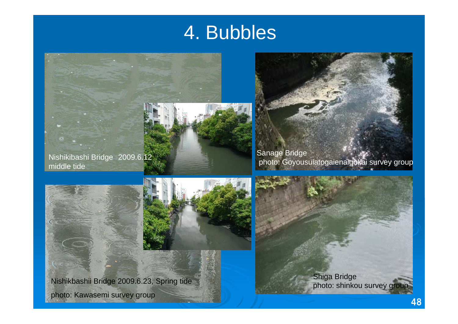# 4. Bubbles



Nishikibashi Bridge 2009.6.12 middle tide

Sanage Bridge photo: Goyousuiatogaienaigokai survey group





Nishikbashii Bridge 2009.6.23, Spring tide photo: Kawasemi survey group

Shiga Bridge<br>photo: shinkou survey group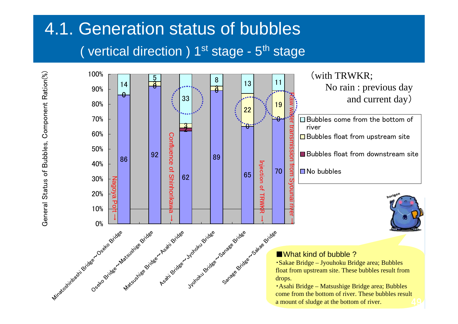# 4.1. Generation status of bubbles ( vertical direction )  $1^{st}$  stage -  $5^{th}$  stage

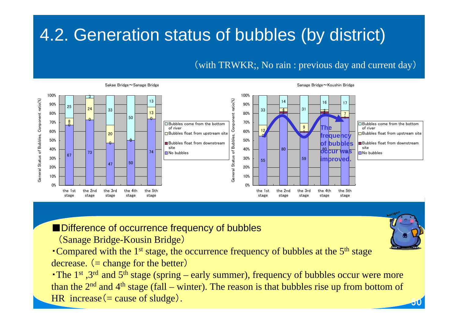# 4.2. Generation status of bubbles (by district)

#### (with TRWKR;, No rain : previous day and current day)



■Difference of occurrence frequency of bubbles

(Sanage Bridge-Kousin Bridge)

• Compared with the  $1<sup>st</sup>$  stage, the occurrence frequency of bubbles at the  $5<sup>th</sup>$  stage decrease.  $(=\text{change for the better})$ 

• The  $1<sup>st</sup>$ ,  $3<sup>rd</sup>$  and  $5<sup>th</sup>$  stage (spring – early summer), frequency of bubbles occur were more than the  $2<sup>nd</sup>$  and  $4<sup>th</sup>$  stage (fall – winter). The reason is that bubbles rise up from bottom of HR increase  $(= \text{cause of sludge})$ .



50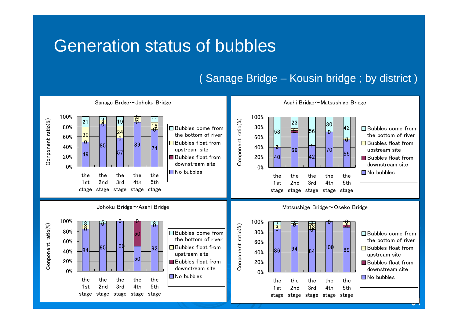### Generation status of bubbles

### ( Sanage Bridge – Kousin bridge ; by district )

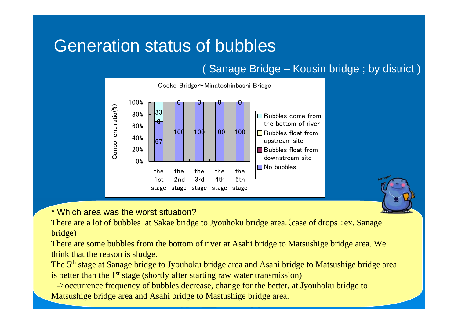## Generation status of bubbles

### ( Sanage Bridge – Kousin bridge ; by district )



\* Which area was the worst situation?

There are a lot of bubbles at Sakae bridge to Jyouhoku bridge area.(case of drops :ex. Sanage bridge)

There are some bubbles from the bottom of river at Asahi bridge to Matsushige bridge area. We think that the reason is sludge.

The 5<sup>th</sup> stage at Sanage bridge to Jyouhoku bridge area and Asahi bridge to Matsushige bridge area is better than the 1<sup>st</sup> stage (shortly after starting raw water transmission)

->occurrence frequency of bubbles decrease, change for the better, at Jyouhoku bridge to Matsushige bridge area and Asahi bridge to Mastushige bridge area.

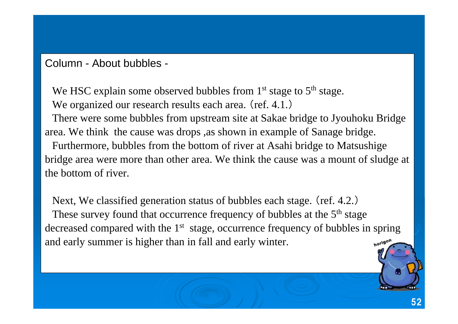### Column - About bubbles -

We HSC explain some observed bubbles from  $1<sup>st</sup>$  stage to  $5<sup>th</sup>$  stage. We organized our research results each area. (ref. 4.1.)

There were some bubbles from upstream site at Sakae bridge to Jyouhoku Bridge area. We think the cause was drops ,as shown in example of Sanage bridge.

Furthermore, bubbles from the bottom of river at Asahi bridge to Matsushige bridge area were more than other area. We think the cause was a mount of sludge at the bottom of river.

Next, We classified generation status of bubbles each stage. (ref. 4.2.) These survey found that occurrence frequency of bubbles at the 5<sup>th</sup> stage decreased compared with the 1<sup>st</sup> stage, occurrence frequency of bubbles in spring and early summer is higher than in fall and early winter. horigon